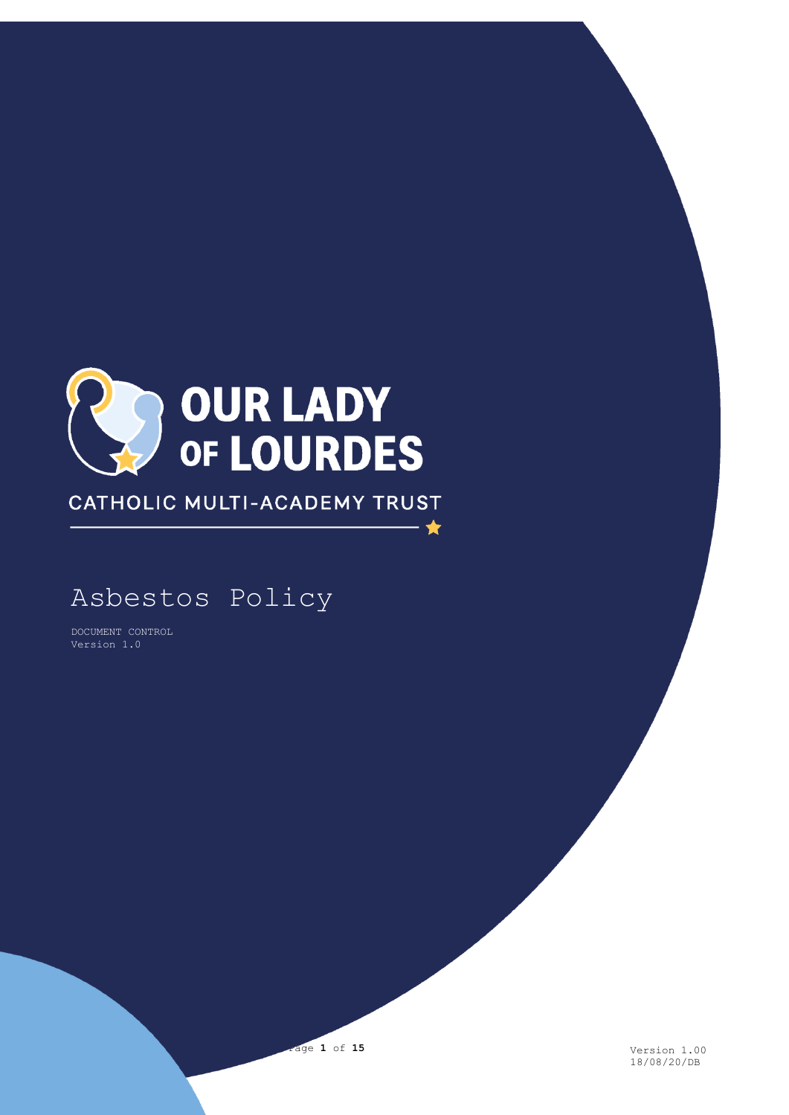

CATHOLIC MULTI-ACADEMY TRUST

· ★

# Asbestos Policy

DOCUMENT CONTROL Version 1.0



18/08/20/DB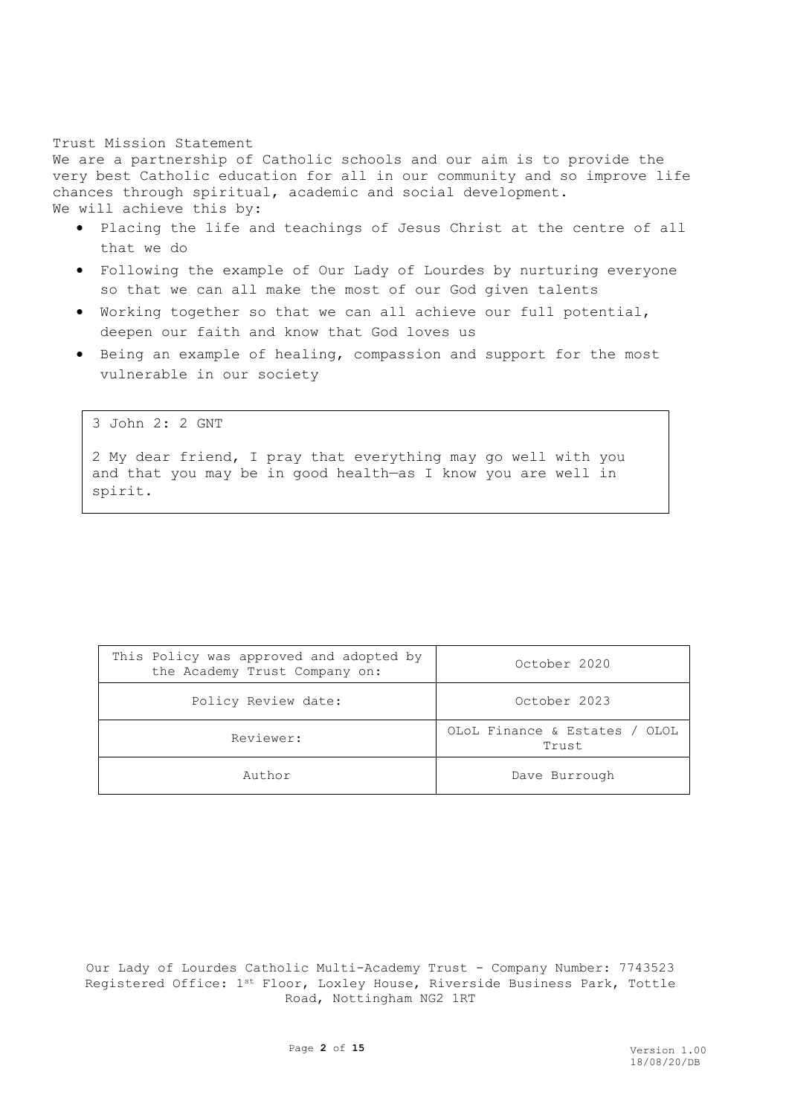# Trust Mission Statement

We are a partnership of Catholic schools and our aim is to provide the very best Catholic education for all in our community and so improve life chances through spiritual, academic and social development. We will achieve this by:

- Placing the life and teachings of Jesus Christ at the centre of all that we do
- Following the example of Our Lady of Lourdes by nurturing everyone so that we can all make the most of our God given talents
- Working together so that we can all achieve our full potential, deepen our faith and know that God loves us
- Being an example of healing, compassion and support for the most vulnerable in our society

3 John 2: 2 GNT

2 My dear friend, I pray that everything may go well with you and that you may be in good health—as I know you are well in spirit.

| This Policy was approved and adopted by<br>the Academy Trust Company on: | October 2020                           |  |
|--------------------------------------------------------------------------|----------------------------------------|--|
| Policy Review date:                                                      | October 2023                           |  |
| Reviewer:                                                                | OLOL Finance & Estates / OLOL<br>Trust |  |
| Author                                                                   | Dave Burrough                          |  |

Our Lady of Lourdes Catholic Multi-Academy Trust - Company Number: 7743523 Registered Office: 1st Floor, Loxley House, Riverside Business Park, Tottle Road, Nottingham NG2 1RT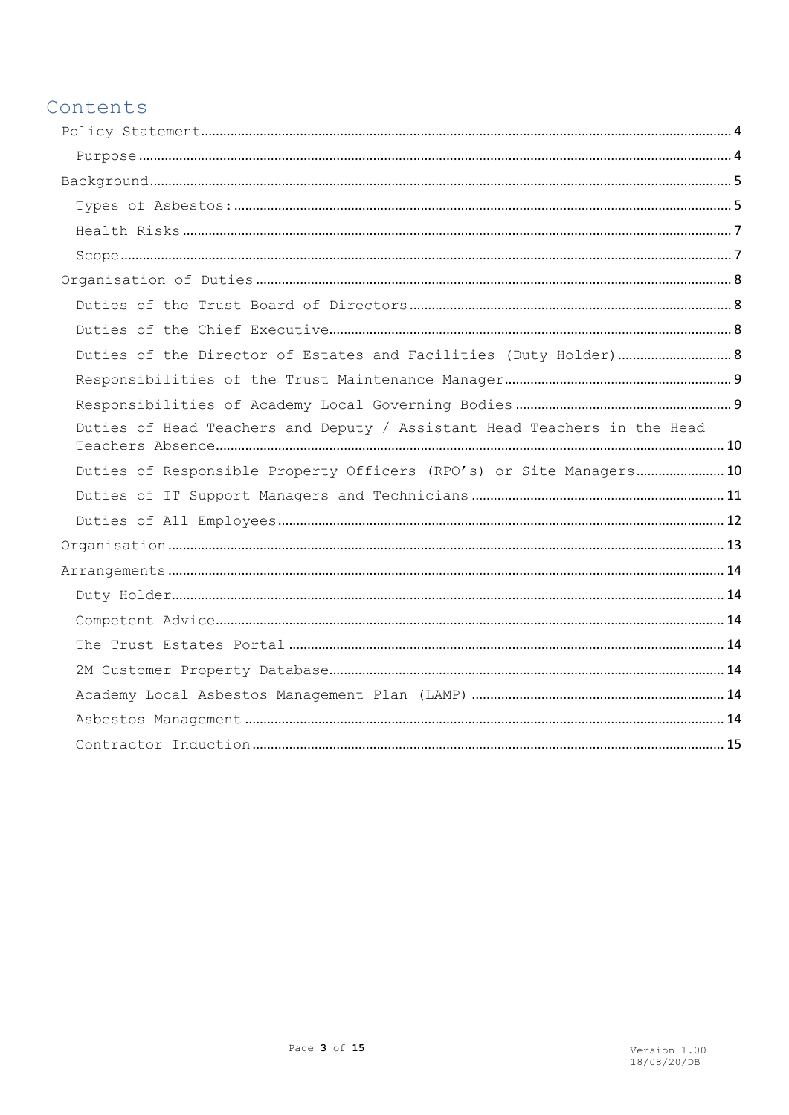# Contents

| Duties of the Director of Estates and Facilities (Duty Holder) 8         |  |
|--------------------------------------------------------------------------|--|
|                                                                          |  |
|                                                                          |  |
| Duties of Head Teachers and Deputy / Assistant Head Teachers in the Head |  |
| Duties of Responsible Property Officers (RPO's) or Site Managers 10      |  |
|                                                                          |  |
|                                                                          |  |
|                                                                          |  |
|                                                                          |  |
|                                                                          |  |
|                                                                          |  |
|                                                                          |  |
|                                                                          |  |
|                                                                          |  |
|                                                                          |  |
|                                                                          |  |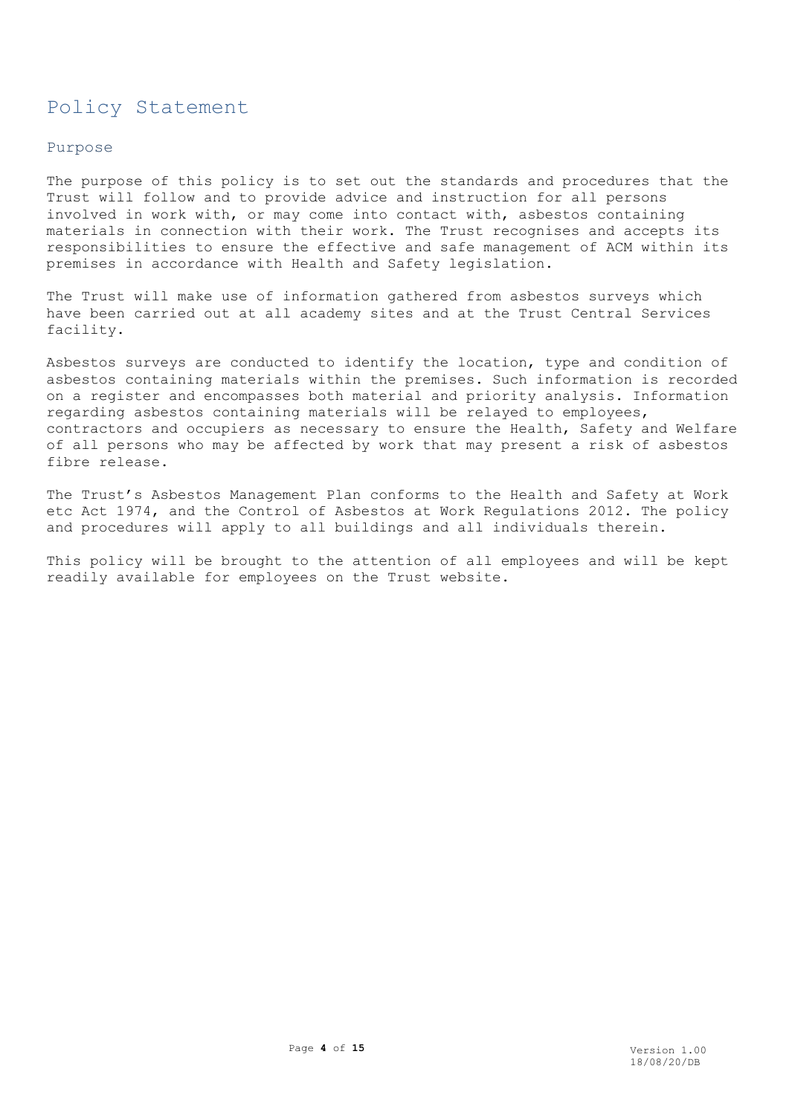# <span id="page-3-0"></span>Policy Statement

# <span id="page-3-1"></span>Purpose

The purpose of this policy is to set out the standards and procedures that the Trust will follow and to provide advice and instruction for all persons involved in work with, or may come into contact with, asbestos containing materials in connection with their work. The Trust recognises and accepts its responsibilities to ensure the effective and safe management of ACM within its premises in accordance with Health and Safety legislation.

The Trust will make use of information gathered from asbestos surveys which have been carried out at all academy sites and at the Trust Central Services facility.

Asbestos surveys are conducted to identify the location, type and condition of asbestos containing materials within the premises. Such information is recorded on a register and encompasses both material and priority analysis. Information regarding asbestos containing materials will be relayed to employees, contractors and occupiers as necessary to ensure the Health, Safety and Welfare of all persons who may be affected by work that may present a risk of asbestos fibre release.

The Trust's Asbestos Management Plan conforms to the Health and Safety at Work etc Act 1974, and the Control of Asbestos at Work Regulations 2012. The policy and procedures will apply to all buildings and all individuals therein.

This policy will be brought to the attention of all employees and will be kept readily available for employees on the Trust website.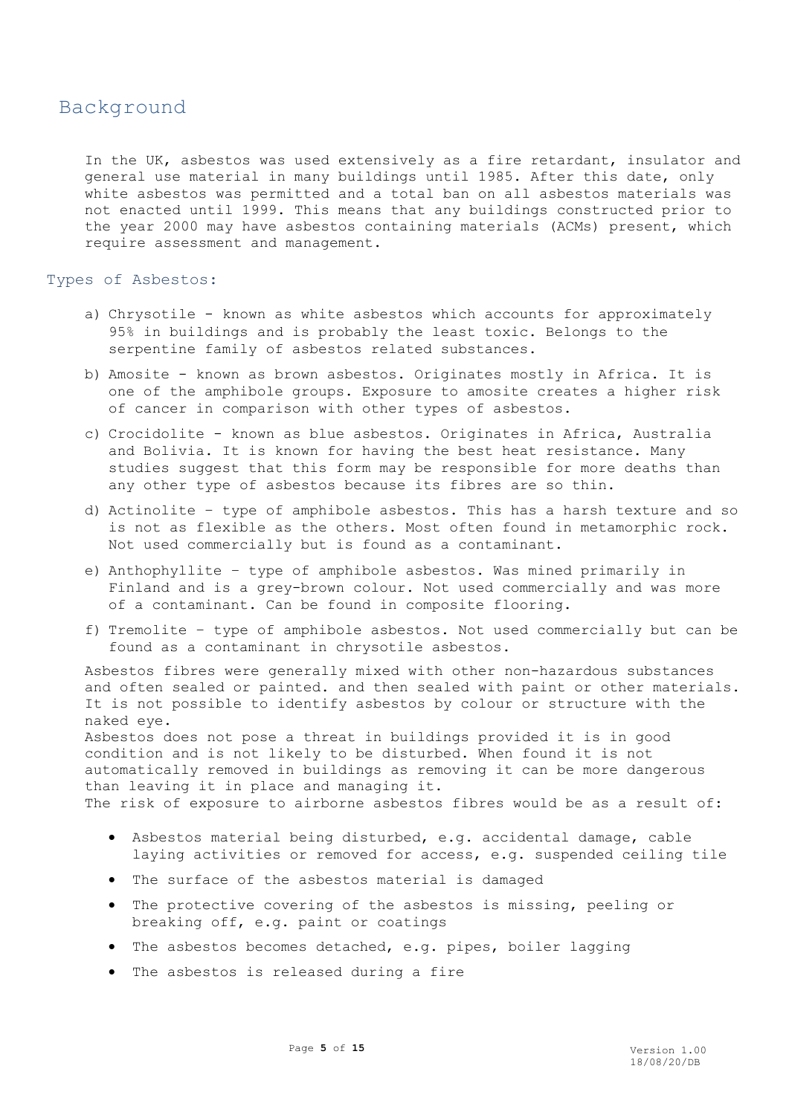# <span id="page-4-0"></span>Background

In the UK, asbestos was used extensively as a fire retardant, insulator and general use material in many buildings until 1985. After this date, only white asbestos was permitted and a total ban on all asbestos materials was not enacted until 1999. This means that any buildings constructed prior to the year 2000 may have asbestos containing materials (ACMs) present, which require assessment and management.

### <span id="page-4-1"></span>Types of Asbestos:

- a) Chrysotile known as white asbestos which accounts for approximately 95% in buildings and is probably the least toxic. Belongs to the serpentine family of asbestos related substances.
- b) Amosite known as brown asbestos. Originates mostly in Africa. It is one of the amphibole groups. Exposure to amosite creates a higher risk of cancer in comparison with other types of asbestos.
- c) Crocidolite known as blue asbestos. Originates in Africa, Australia and Bolivia. It is known for having the best heat resistance. Many studies suggest that this form may be responsible for more deaths than any other type of asbestos because its fibres are so thin.
- d) Actinolite type of amphibole asbestos. This has a harsh texture and so is not as flexible as the others. Most often found in metamorphic rock. Not used commercially but is found as a contaminant.
- e) Anthophyllite type of amphibole asbestos. Was mined primarily in Finland and is a grey-brown colour. Not used commercially and was more of a contaminant. Can be found in composite flooring.
- f) Tremolite type of amphibole asbestos. Not used commercially but can be found as a contaminant in chrysotile asbestos.

Asbestos fibres were generally mixed with other non-hazardous substances and often sealed or painted. and then sealed with paint or other materials. It is not possible to identify asbestos by colour or structure with the naked eye.

Asbestos does not pose a threat in buildings provided it is in good condition and is not likely to be disturbed. When found it is not automatically removed in buildings as removing it can be more dangerous than leaving it in place and managing it. The risk of exposure to airborne asbestos fibres would be as a result of:

- Asbestos material being disturbed, e.g. accidental damage, cable laying activities or removed for access, e.g. suspended ceiling tile
- The surface of the asbestos material is damaged
- The protective covering of the asbestos is missing, peeling or breaking off, e.g. paint or coatings
- The asbestos becomes detached, e.g. pipes, boiler lagging
- The asbestos is released during a fire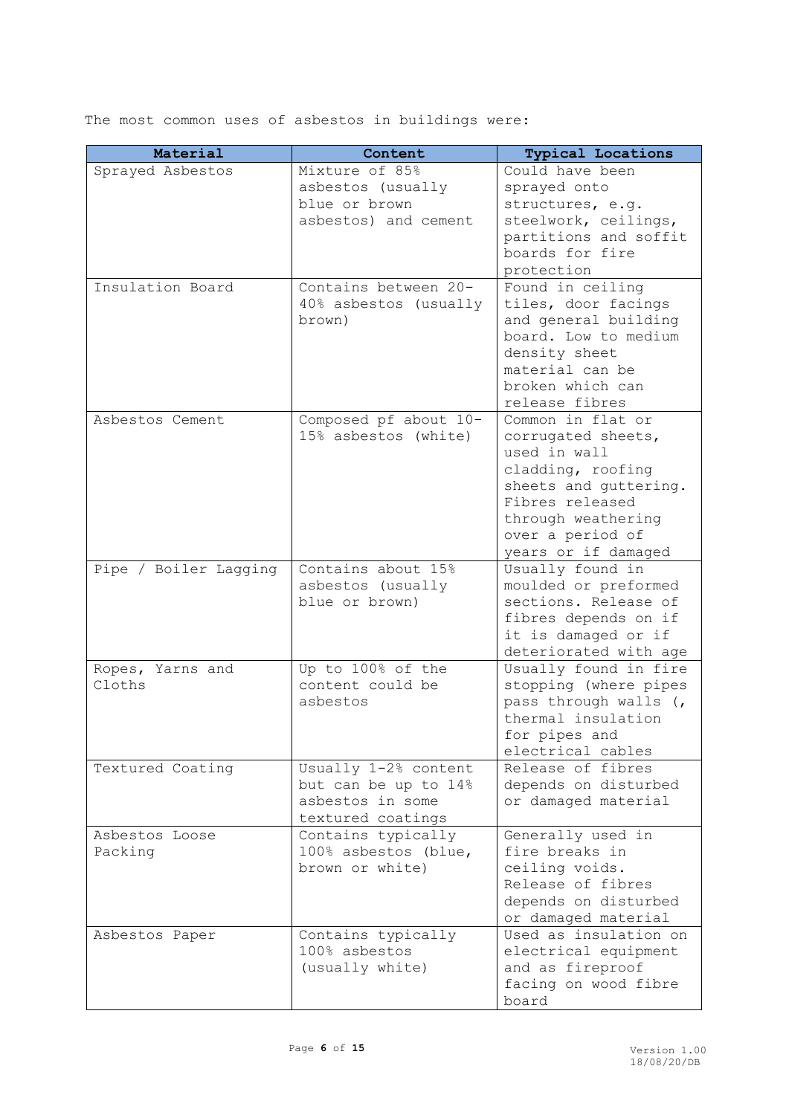The most common uses of asbestos in buildings were:

| Material              | Content                                       | <b>Typical Locations</b>           |
|-----------------------|-----------------------------------------------|------------------------------------|
| Sprayed Asbestos      | Mixture of 85%                                | Could have been                    |
|                       | asbestos (usually                             | sprayed onto                       |
|                       | blue or brown                                 | structures, e.g.                   |
|                       | asbestos) and cement                          | steelwork, ceilings,               |
|                       |                                               | partitions and soffit              |
|                       |                                               | boards for fire                    |
|                       |                                               | protection                         |
| Insulation Board      | Contains between 20-                          | Found in ceiling                   |
|                       | 40% asbestos (usually                         | tiles, door facings                |
|                       | brown)                                        | and general building               |
|                       |                                               | board. Low to medium               |
|                       |                                               | density sheet                      |
|                       |                                               | material can be                    |
|                       |                                               | broken which can                   |
|                       |                                               | release fibres                     |
| Asbestos Cement       | Composed pf about 10-<br>15% asbestos (white) | Common in flat or                  |
|                       |                                               | corrugated sheets,<br>used in wall |
|                       |                                               | cladding, roofing                  |
|                       |                                               | sheets and guttering.              |
|                       |                                               | Fibres released                    |
|                       |                                               | through weathering                 |
|                       |                                               | over a period of                   |
|                       |                                               | years or if damaged                |
| Pipe / Boiler Lagging | Contains about 15%                            | Usually found in                   |
|                       | asbestos (usually                             | moulded or preformed               |
|                       | blue or brown)                                | sections. Release of               |
|                       |                                               | fibres depends on if               |
|                       |                                               | it is damaged or if                |
|                       |                                               | deteriorated with age              |
| Ropes, Yarns and      | Up to 100% of the                             | Usually found in fire              |
| Cloths                | content could be                              | stopping (where pipes              |
|                       | asbestos                                      | pass through walls (,              |
|                       |                                               | thermal insulation                 |
|                       |                                               | for pipes and                      |
|                       |                                               | electrical cables                  |
| Textured Coating      | Usually 1-2% content                          | Release of fibres                  |
|                       | but can be up to 14%                          | depends on disturbed               |
|                       | asbestos in some                              | or damaged material                |
| Asbestos Loose        | textured coatings<br>Contains typically       | Generally used in                  |
| Packing               | 100% asbestos (blue,                          | fire breaks in                     |
|                       | brown or white)                               | ceiling voids.                     |
|                       |                                               | Release of fibres                  |
|                       |                                               | depends on disturbed               |
|                       |                                               | or damaged material                |
| Asbestos Paper        | Contains typically                            | Used as insulation on              |
|                       | 100% asbestos                                 | electrical equipment               |
|                       | (usually white)                               | and as fireproof                   |
|                       |                                               | facing on wood fibre               |
|                       |                                               | board                              |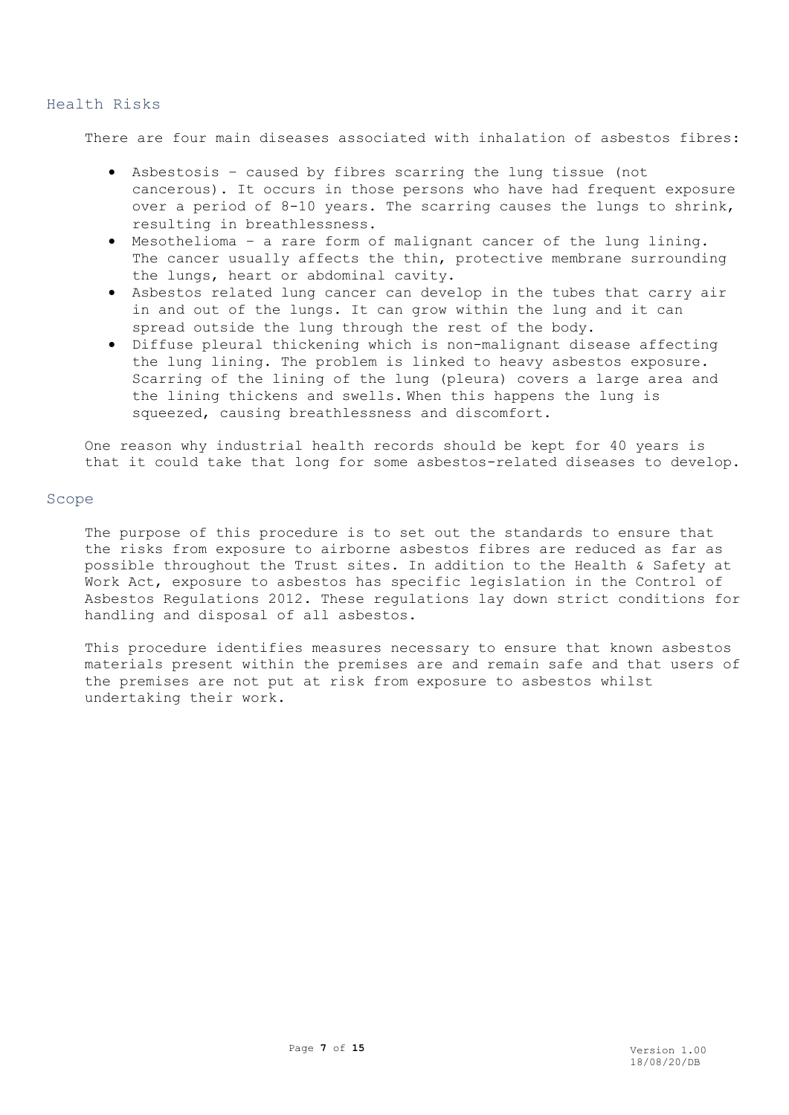### <span id="page-6-0"></span>Health Risks

There are four main diseases associated with inhalation of asbestos fibres:

- Asbestosis caused by fibres scarring the lung tissue (not cancerous). It occurs in those persons who have had frequent exposure over a period of 8-10 years. The scarring causes the lungs to shrink, resulting in breathlessness.
- Mesothelioma a rare form of malignant cancer of the lung lining. The cancer usually affects the thin, protective membrane surrounding the lungs, heart or abdominal cavity.
- Asbestos related lung cancer can develop in the tubes that carry air in and out of the lungs. It can grow within the lung and it can spread outside the lung through the rest of the body.
- Diffuse pleural thickening which is non-malignant disease affecting the lung lining. The problem is linked to heavy asbestos exposure. Scarring of the lining of the lung (pleura) covers a large area and the lining thickens and swells. When this happens the lung is squeezed, causing breathlessness and discomfort.

One reason why industrial health records should be kept for 40 years is that it could take that long for some asbestos-related diseases to develop.

# <span id="page-6-1"></span>Scope

The purpose of this procedure is to set out the standards to ensure that the risks from exposure to airborne asbestos fibres are reduced as far as possible throughout the Trust sites. In addition to the Health & Safety at Work Act, exposure to asbestos has specific legislation in the Control of Asbestos Regulations 2012. These regulations lay down strict conditions for handling and disposal of all asbestos.

This procedure identifies measures necessary to ensure that known asbestos materials present within the premises are and remain safe and that users of the premises are not put at risk from exposure to asbestos whilst undertaking their work.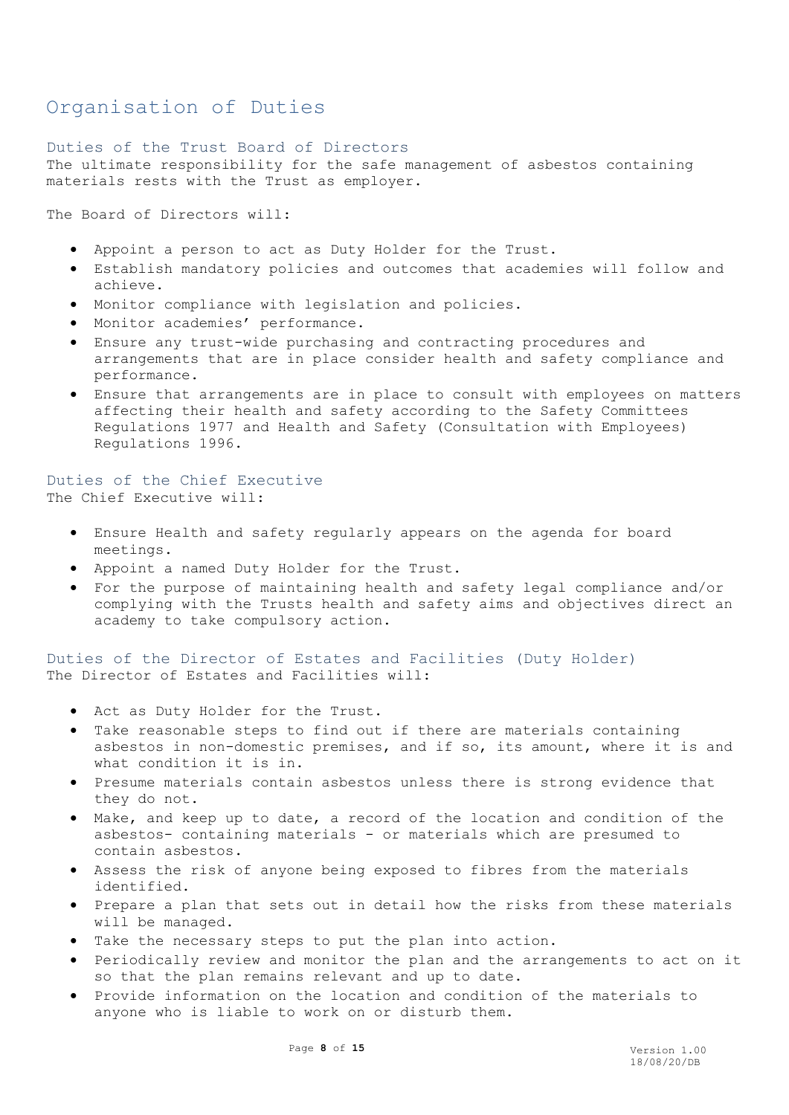# <span id="page-7-0"></span>Organisation of Duties

### <span id="page-7-1"></span>Duties of the Trust Board of Directors

The ultimate responsibility for the safe management of asbestos containing materials rests with the Trust as employer.

The Board of Directors will:

- Appoint a person to act as Duty Holder for the Trust.
- Establish mandatory policies and outcomes that academies will follow and achieve.
- Monitor compliance with legislation and policies.
- Monitor academies' performance.
- Ensure any trust-wide purchasing and contracting procedures and arrangements that are in place consider health and safety compliance and performance.
- Ensure that arrangements are in place to consult with employees on matters affecting their health and safety according to the Safety Committees Regulations 1977 and Health and Safety (Consultation with Employees) Regulations 1996.

<span id="page-7-2"></span>Duties of the Chief Executive The Chief Executive will:

- Ensure Health and safety regularly appears on the agenda for board meetings.
- Appoint a named Duty Holder for the Trust.
- For the purpose of maintaining health and safety legal compliance and/or complying with the Trusts health and safety aims and objectives direct an academy to take compulsory action.

<span id="page-7-3"></span>Duties of the Director of Estates and Facilities (Duty Holder) The Director of Estates and Facilities will:

- Act as Duty Holder for the Trust.
- Take reasonable steps to find out if there are materials containing asbestos in non-domestic premises, and if so, its amount, where it is and what condition it is in.
- Presume materials contain asbestos unless there is strong evidence that they do not.
- Make, and keep up to date, a record of the location and condition of the asbestos- containing materials - or materials which are presumed to contain asbestos.
- Assess the risk of anyone being exposed to fibres from the materials identified.
- Prepare a plan that sets out in detail how the risks from these materials will be managed.
- Take the necessary steps to put the plan into action.
- Periodically review and monitor the plan and the arrangements to act on it so that the plan remains relevant and up to date.
- Provide information on the location and condition of the materials to anyone who is liable to work on or disturb them.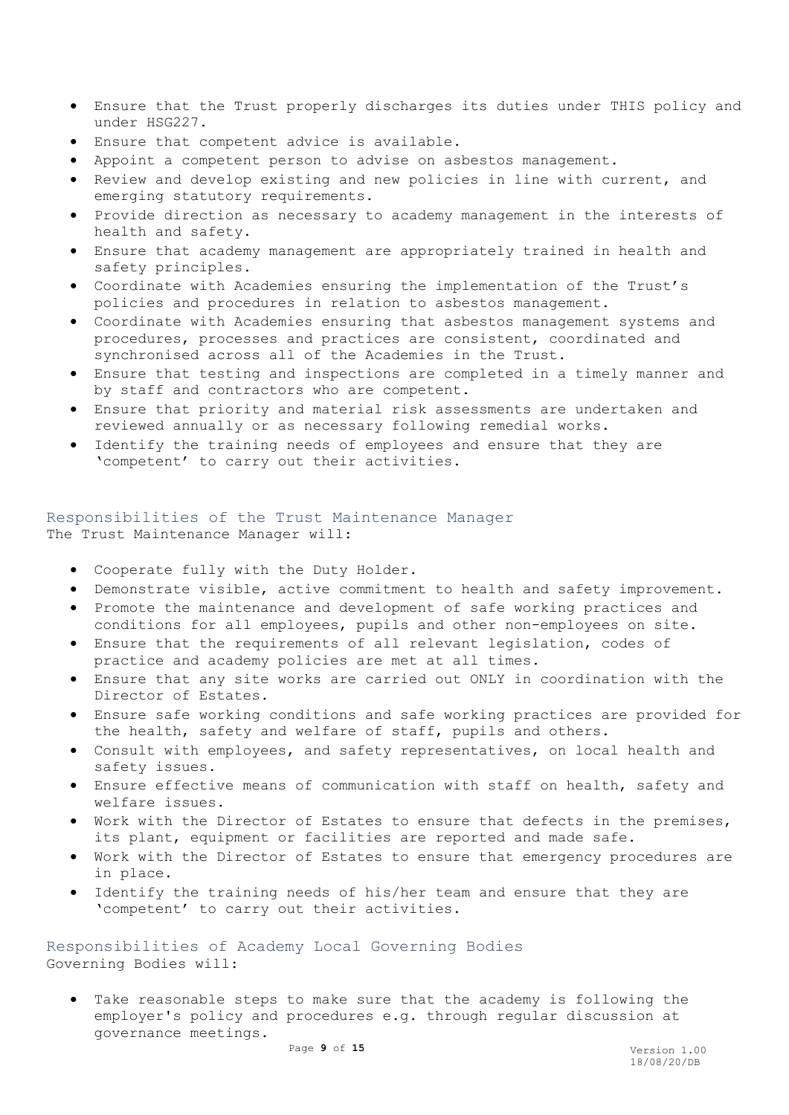- Ensure that the Trust properly discharges its duties under THIS policy and under HSG227.
- Ensure that competent advice is available.
- Appoint a competent person to advise on asbestos management.
- Review and develop existing and new policies in line with current, and emerging statutory requirements.
- Provide direction as necessary to academy management in the interests of health and safety.
- Ensure that academy management are appropriately trained in health and safety principles.
- Coordinate with Academies ensuring the implementation of the Trust's policies and procedures in relation to asbestos management.
- Coordinate with Academies ensuring that asbestos management systems and procedures, processes and practices are consistent, coordinated and synchronised across all of the Academies in the Trust.
- Ensure that testing and inspections are completed in a timely manner and by staff and contractors who are competent.
- Ensure that priority and material risk assessments are undertaken and reviewed annually or as necessary following remedial works.
- Identify the training needs of employees and ensure that they are 'competent' to carry out their activities.

# <span id="page-8-0"></span>Responsibilities of the Trust Maintenance Manager The Trust Maintenance Manager will:

- Cooperate fully with the Duty Holder.
- Demonstrate visible, active commitment to health and safety improvement.
- Promote the maintenance and development of safe working practices and conditions for all employees, pupils and other non-employees on site.
- Ensure that the requirements of all relevant legislation, codes of practice and academy policies are met at all times.
- Ensure that any site works are carried out ONLY in coordination with the Director of Estates.
- Ensure safe working conditions and safe working practices are provided for the health, safety and welfare of staff, pupils and others.
- Consult with employees, and safety representatives, on local health and safety issues.
- Ensure effective means of communication with staff on health, safety and welfare issues.
- Work with the Director of Estates to ensure that defects in the premises, its plant, equipment or facilities are reported and made safe.
- Work with the Director of Estates to ensure that emergency procedures are in place.
- Identify the training needs of his/her team and ensure that they are 'competent' to carry out their activities.

<span id="page-8-1"></span>Responsibilities of Academy Local Governing Bodies Governing Bodies will:

 Take reasonable steps to make sure that the academy is following the employer's policy and procedures e.g. through regular discussion at governance meetings.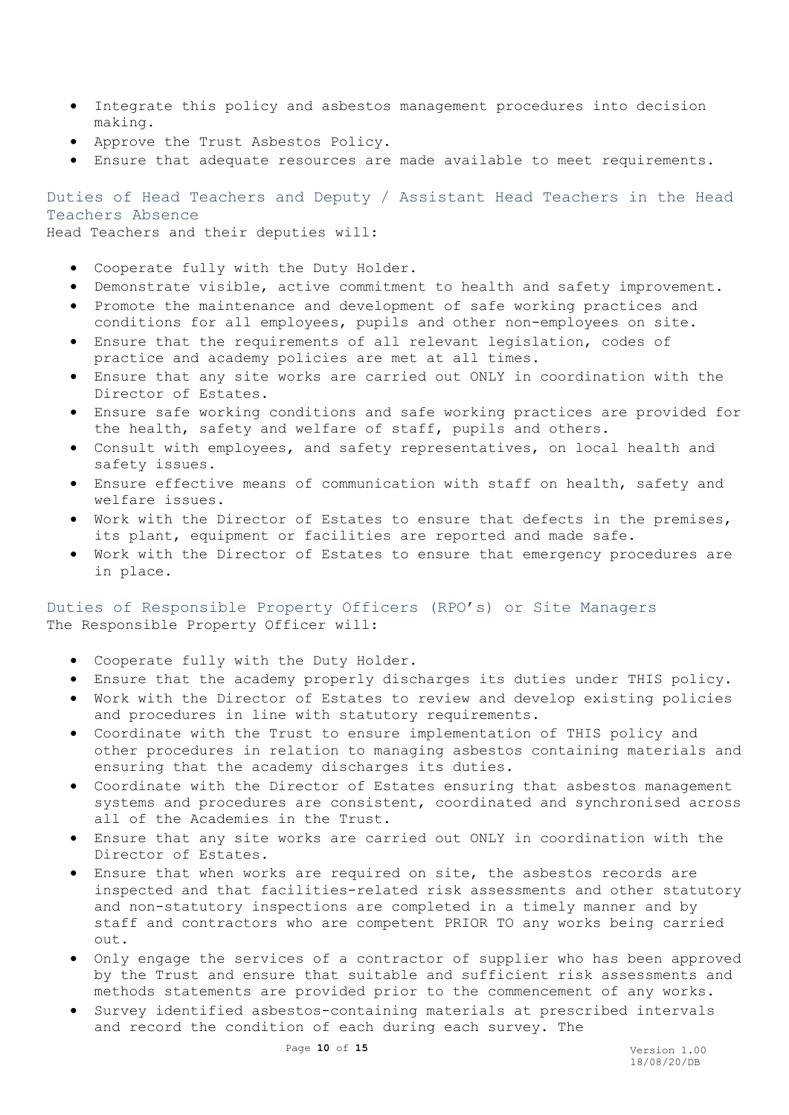- Integrate this policy and asbestos management procedures into decision making.
- Approve the Trust Asbestos Policy.
- Ensure that adequate resources are made available to meet requirements.

<span id="page-9-0"></span>Duties of Head Teachers and Deputy / Assistant Head Teachers in the Head Teachers Absence

Head Teachers and their deputies will:

- Cooperate fully with the Duty Holder.
- Demonstrate visible, active commitment to health and safety improvement.
- Promote the maintenance and development of safe working practices and conditions for all employees, pupils and other non-employees on site.
- Ensure that the requirements of all relevant legislation, codes of practice and academy policies are met at all times.
- Ensure that any site works are carried out ONLY in coordination with the Director of Estates.
- Ensure safe working conditions and safe working practices are provided for the health, safety and welfare of staff, pupils and others.
- Consult with employees, and safety representatives, on local health and safety issues.
- Ensure effective means of communication with staff on health, safety and welfare issues.
- Work with the Director of Estates to ensure that defects in the premises, its plant, equipment or facilities are reported and made safe.
- Work with the Director of Estates to ensure that emergency procedures are in place.

<span id="page-9-1"></span>Duties of Responsible Property Officers (RPO's) or Site Managers The Responsible Property Officer will:

- Cooperate fully with the Duty Holder.
- Ensure that the academy properly discharges its duties under THIS policy.
- Work with the Director of Estates to review and develop existing policies and procedures in line with statutory requirements.
- Coordinate with the Trust to ensure implementation of THIS policy and other procedures in relation to managing asbestos containing materials and ensuring that the academy discharges its duties.
- Coordinate with the Director of Estates ensuring that asbestos management systems and procedures are consistent, coordinated and synchronised across all of the Academies in the Trust.
- Ensure that any site works are carried out ONLY in coordination with the Director of Estates.
- Ensure that when works are required on site, the asbestos records are inspected and that facilities-related risk assessments and other statutory and non-statutory inspections are completed in a timely manner and by staff and contractors who are competent PRIOR TO any works being carried out.
- Only engage the services of a contractor of supplier who has been approved by the Trust and ensure that suitable and sufficient risk assessments and methods statements are provided prior to the commencement of any works.
- Survey identified asbestos-containing materials at prescribed intervals and record the condition of each during each survey. The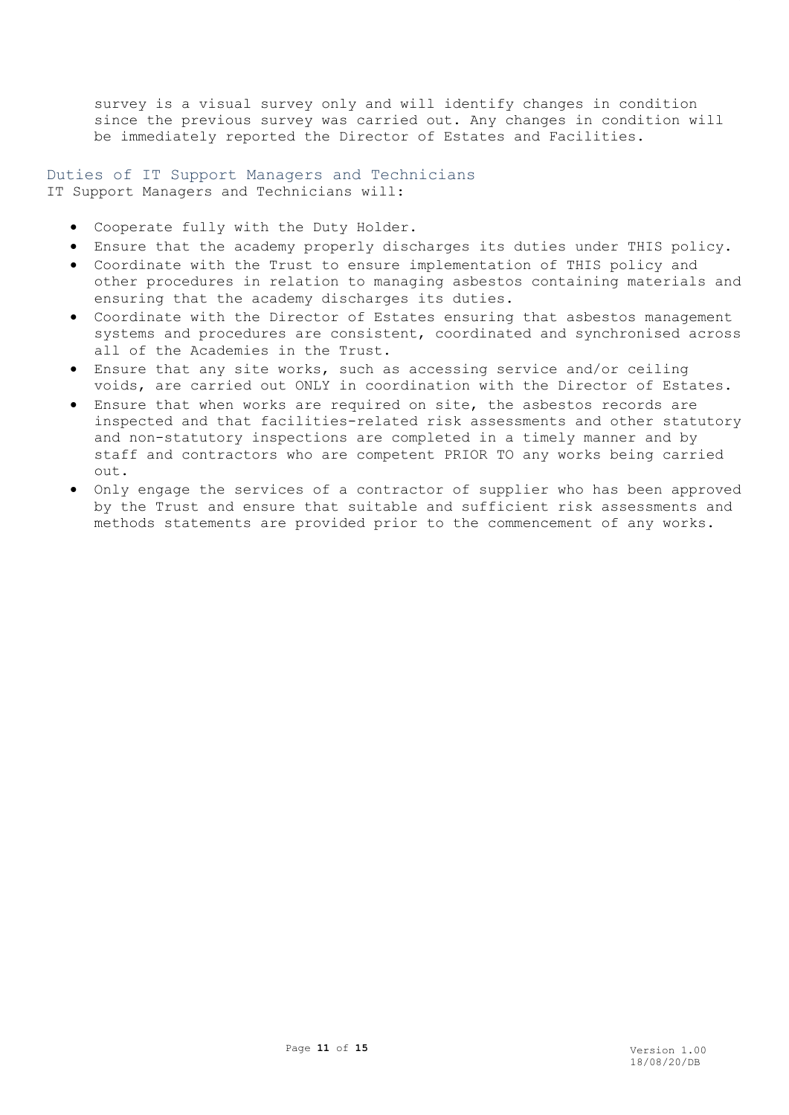survey is a visual survey only and will identify changes in condition since the previous survey was carried out. Any changes in condition will be immediately reported the Director of Estates and Facilities.

<span id="page-10-0"></span>Duties of IT Support Managers and Technicians IT Support Managers and Technicians will:

- Cooperate fully with the Duty Holder.
- Ensure that the academy properly discharges its duties under THIS policy.
- Coordinate with the Trust to ensure implementation of THIS policy and other procedures in relation to managing asbestos containing materials and ensuring that the academy discharges its duties.
- Coordinate with the Director of Estates ensuring that asbestos management systems and procedures are consistent, coordinated and synchronised across all of the Academies in the Trust.
- Ensure that any site works, such as accessing service and/or ceiling voids, are carried out ONLY in coordination with the Director of Estates.
- Ensure that when works are required on site, the asbestos records are inspected and that facilities-related risk assessments and other statutory and non-statutory inspections are completed in a timely manner and by staff and contractors who are competent PRIOR TO any works being carried out.
- Only engage the services of a contractor of supplier who has been approved by the Trust and ensure that suitable and sufficient risk assessments and methods statements are provided prior to the commencement of any works.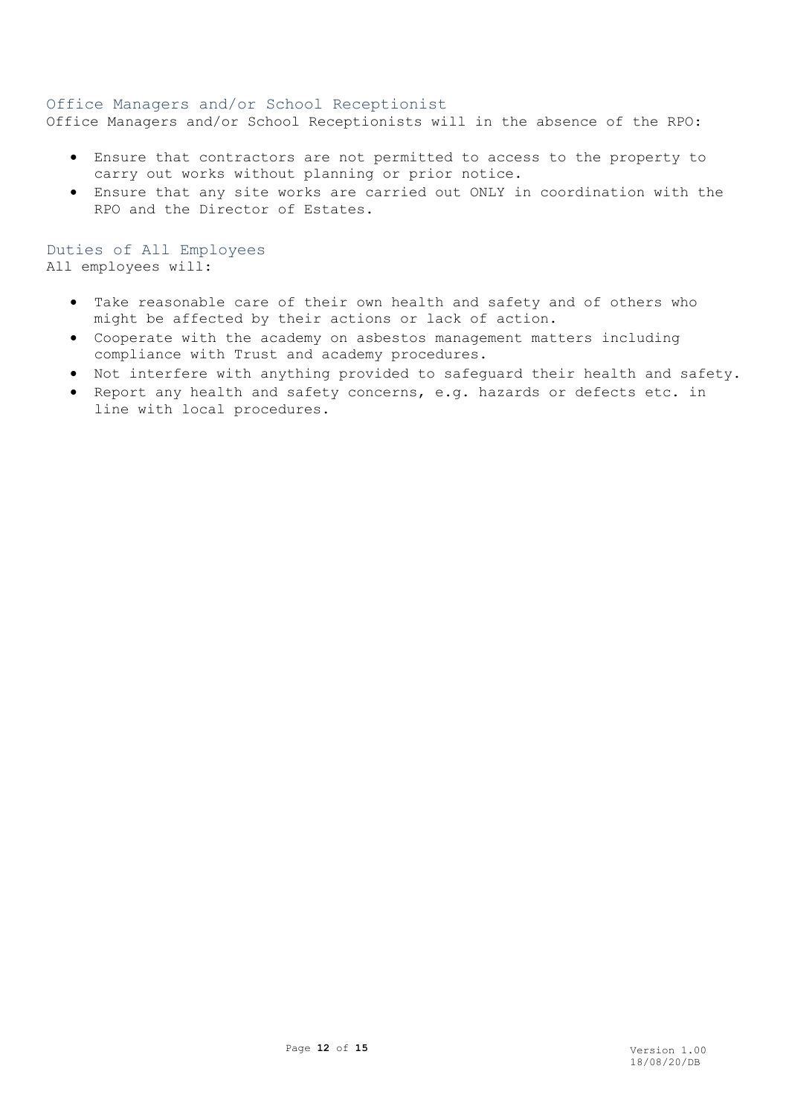# <span id="page-11-0"></span>Office Managers and/or School Receptionist

Office Managers and/or School Receptionists will in the absence of the RPO:

- Ensure that contractors are not permitted to access to the property to carry out works without planning or prior notice.
- Ensure that any site works are carried out ONLY in coordination with the RPO and the Director of Estates.

Duties of All Employees All employees will:

- Take reasonable care of their own health and safety and of others who might be affected by their actions or lack of action.
- Cooperate with the academy on asbestos management matters including compliance with Trust and academy procedures.
- Not interfere with anything provided to safeguard their health and safety.
- Report any health and safety concerns, e.g. hazards or defects etc. in line with local procedures.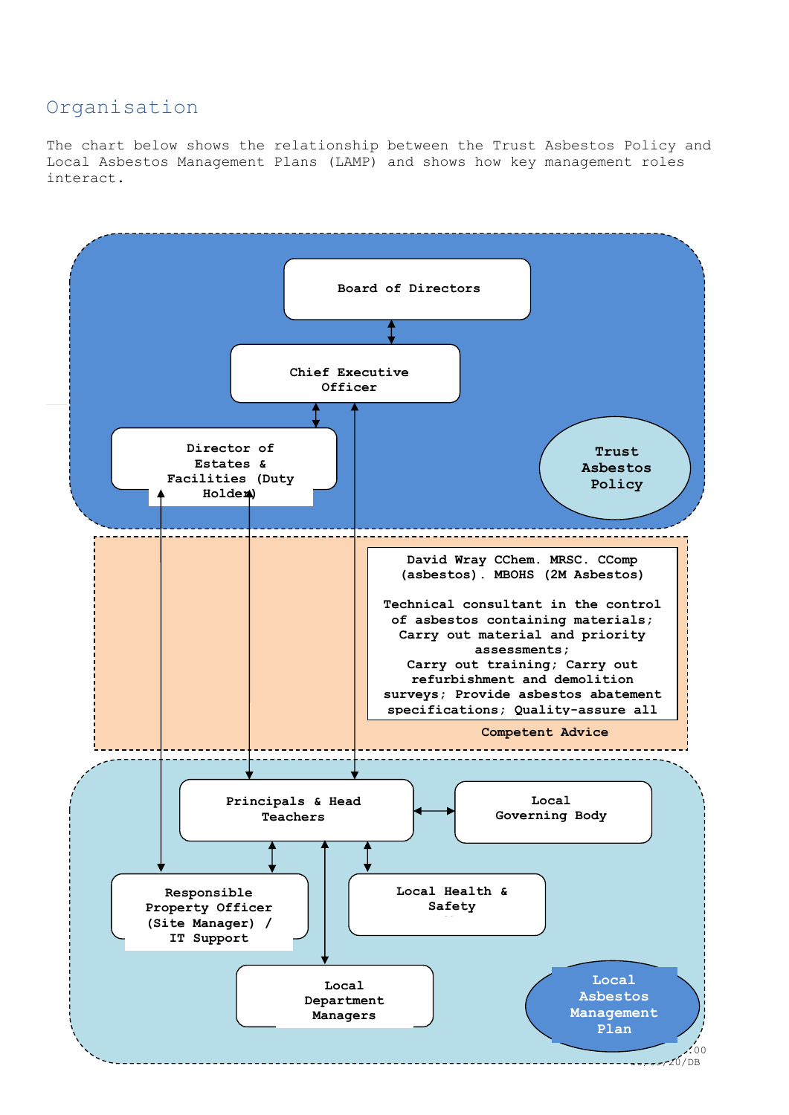# <span id="page-12-0"></span>Organisation

The chart below shows the relationship between the Trust Asbestos Policy and Local Asbestos Management Plans (LAMP) and shows how key management roles interact.

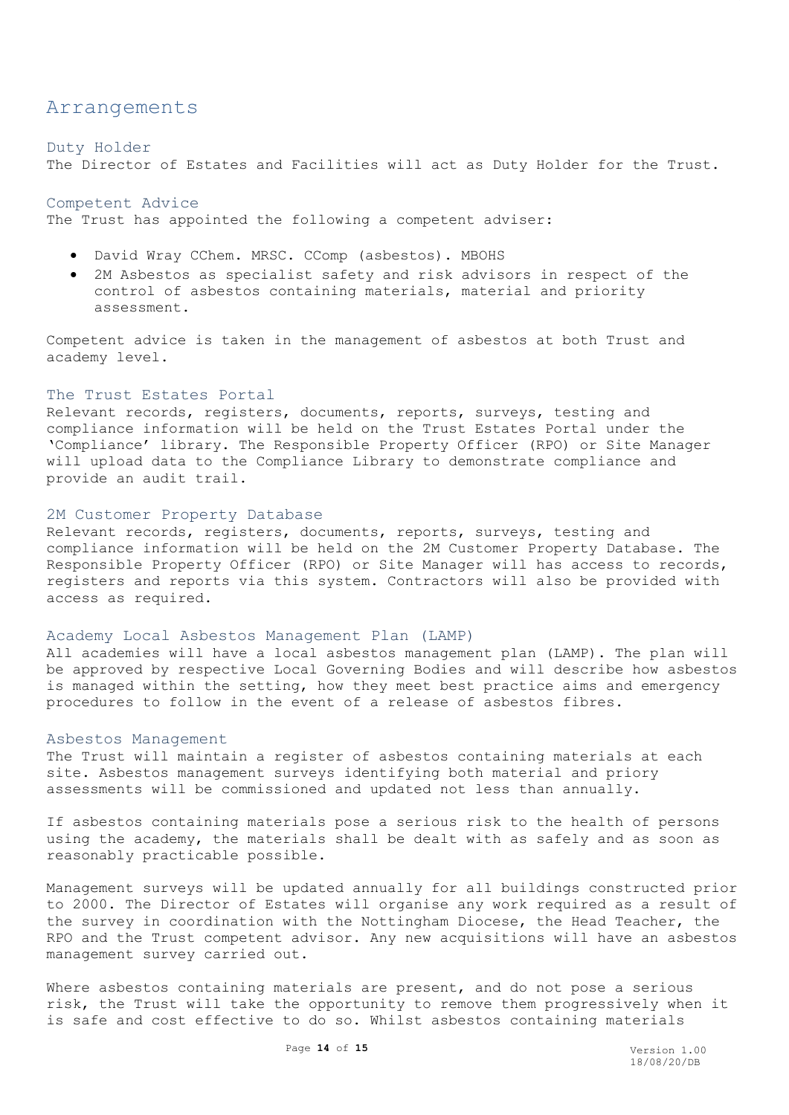# <span id="page-13-0"></span>Arrangements

#### <span id="page-13-1"></span>Duty Holder

The Director of Estates and Facilities will act as Duty Holder for the Trust.

## <span id="page-13-2"></span>Competent Advice

The Trust has appointed the following a competent adviser:

- David Wray CChem. MRSC. CComp (asbestos). MBOHS
- 2M Asbestos as specialist safety and risk advisors in respect of the control of asbestos containing materials, material and priority assessment.

Competent advice is taken in the management of asbestos at both Trust and academy level.

#### <span id="page-13-3"></span>The Trust Estates Portal

Relevant records, registers, documents, reports, surveys, testing and compliance information will be held on the Trust Estates Portal under the 'Compliance' library. The Responsible Property Officer (RPO) or Site Manager will upload data to the Compliance Library to demonstrate compliance and provide an audit trail.

### <span id="page-13-4"></span>2M Customer Property Database

Relevant records, registers, documents, reports, surveys, testing and compliance information will be held on the 2M Customer Property Database. The Responsible Property Officer (RPO) or Site Manager will has access to records, registers and reports via this system. Contractors will also be provided with access as required.

#### <span id="page-13-5"></span>Academy Local Asbestos Management Plan (LAMP)

All academies will have a local asbestos management plan (LAMP). The plan will be approved by respective Local Governing Bodies and will describe how asbestos is managed within the setting, how they meet best practice aims and emergency procedures to follow in the event of a release of asbestos fibres.

#### <span id="page-13-6"></span>Asbestos Management

The Trust will maintain a register of asbestos containing materials at each site. Asbestos management surveys identifying both material and priory assessments will be commissioned and updated not less than annually.

If asbestos containing materials pose a serious risk to the health of persons using the academy, the materials shall be dealt with as safely and as soon as reasonably practicable possible.

Management surveys will be updated annually for all buildings constructed prior to 2000. The Director of Estates will organise any work required as a result of the survey in coordination with the Nottingham Diocese, the Head Teacher, the RPO and the Trust competent advisor. Any new acquisitions will have an asbestos management survey carried out.

Where asbestos containing materials are present, and do not pose a serious risk, the Trust will take the opportunity to remove them progressively when it is safe and cost effective to do so. Whilst asbestos containing materials